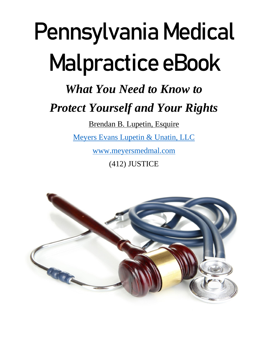# Pennsylvania Medical Malpractice eBook

# *What You Need to Know to*

# *Protect Yourself and Your Rights*

Brendan B. Lupetin, Esquire

[Meyers Evans Lupetin & Unatin, LLC](http://www.meyersmedmal.com/)

[www.meyersmedmal.com](http://www.meyersmedmal.com/)

(412) JUSTICE

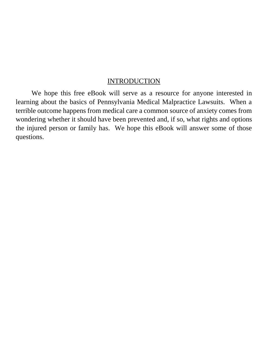#### INTRODUCTION

We hope this free eBook will serve as a resource for anyone interested in learning about the basics of Pennsylvania Medical Malpractice Lawsuits. When a terrible outcome happens from medical care a common source of anxiety comes from wondering whether it should have been prevented and, if so, what rights and options the injured person or family has. We hope this eBook will answer some of those questions.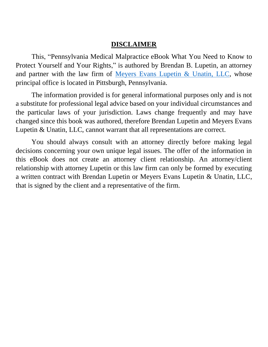#### **DISCLAIMER**

This, "Pennsylvania Medical Malpractice eBook What You Need to Know to Protect Yourself and Your Rights," is authored by Brendan B. Lupetin, an attorney and partner with the law firm of [Meyers Evans Lupetin & Unatin, LLC,](http://www.meyersmedmal.com/) whose principal office is located in Pittsburgh, Pennsylvania.

The information provided is for general informational purposes only and is not a substitute for professional legal advice based on your individual circumstances and the particular laws of your jurisdiction. Laws change frequently and may have changed since this book was authored, therefore Brendan Lupetin and Meyers Evans Lupetin & Unatin, LLC, cannot warrant that all representations are correct.

You should always consult with an attorney directly before making legal decisions concerning your own unique legal issues. The offer of the information in this eBook does not create an attorney client relationship. An attorney/client relationship with attorney Lupetin or this law firm can only be formed by executing a written contract with Brendan Lupetin or Meyers Evans Lupetin & Unatin, LLC, that is signed by the client and a representative of the firm.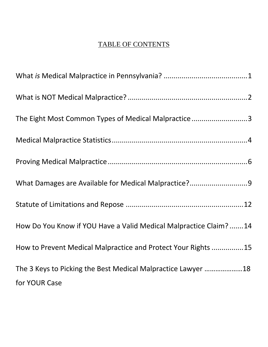### TABLE OF CONTENTS

| The Eight Most Common Types of Medical Malpractice3               |
|-------------------------------------------------------------------|
|                                                                   |
|                                                                   |
| What Damages are Available for Medical Malpractice?9              |
|                                                                   |
| How Do You Know if YOU Have a Valid Medical Malpractice Claim? 14 |
| How to Prevent Medical Malpractice and Protect Your Rights 15     |
| The 3 Keys to Picking the Best Medical Malpractice Lawyer 18      |
| for YOUR Case                                                     |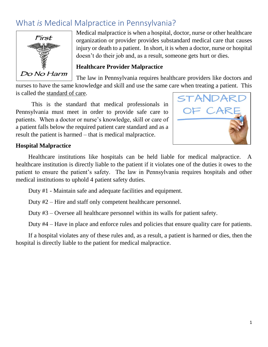# <span id="page-4-0"></span>What *is* Medical Malpractice in Pennsylvania?



Medical malpractice is when a hospital, doctor, nurse or other healthcare organization or provider provides substandard medical care that causes injury or death to a patient. In short, it is when a doctor, nurse or hospital doesn't do their job and, as a result, someone gets hurt or dies.

#### **Healthcare Provider Malpractice**

The law in Pennsylvania requires healthcare providers like doctors and

nurses to have the same knowledge and skill and use the same care when treating a patient. This is called the standard of care.

This is the standard that medical professionals in Pennsylvania must meet in order to provide safe care to patients. When a doctor or nurse's knowledge, skill or care of a patient falls below the required patient care standard and as a result the patient is harmed – that is medical malpractice.



#### **Hospital Malpractice**

Healthcare institutions like hospitals can be held liable for medical malpractice. healthcare institution is directly liable to the patient if it violates one of the duties it owes to the patient to ensure the patient's safety. The law in Pennsylvania requires hospitals and other medical institutions to uphold 4 patient safety duties.

Duty #1 - Maintain safe and adequate facilities and equipment.

Duty #2 – Hire and staff only competent healthcare personnel.

Duty #3 – Oversee all healthcare personnel within its walls for patient safety.

Duty #4 – Have in place and enforce rules and policies that ensure quality care for patients.

If a hospital violates any of these rules and, as a result, a patient is harmed or dies, then the hospital is directly liable to the patient for medical malpractice.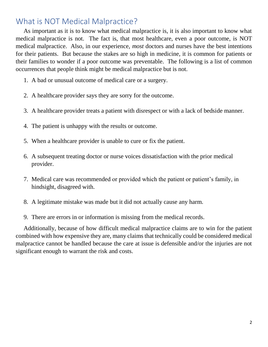# <span id="page-5-0"></span>What is NOT Medical Malpractice?

As important as it is to know what medical malpractice is, it is also important to know what medical malpractice is not. The fact is, that most healthcare, even a poor outcome, is NOT medical malpractice. Also, in our experience, *most* doctors and nurses have the best intentions for their patients. But because the stakes are so high in medicine, it is common for patients or their families to wonder if a poor outcome was preventable. The following is a list of common occurrences that people think might be medical malpractice but is not.

- 1. A bad or unusual outcome of medical care or a surgery.
- 2. A healthcare provider says they are sorry for the outcome.
- 3. A healthcare provider treats a patient with disrespect or with a lack of bedside manner.
- 4. The patient is unhappy with the results or outcome.
- 5. When a healthcare provider is unable to cure or fix the patient.
- 6. A subsequent treating doctor or nurse voices dissatisfaction with the prior medical provider.
- 7. Medical care was recommended or provided which the patient or patient's family, in hindsight, disagreed with.
- 8. A legitimate mistake was made but it did not actually cause any harm.
- 9. There are errors in or information is missing from the medical records.

Additionally, because of how difficult medical malpractice claims are to win for the patient combined with how expensive they are, many claims that technically could be considered medical malpractice cannot be handled because the care at issue is defensible and/or the injuries are not significant enough to warrant the risk and costs.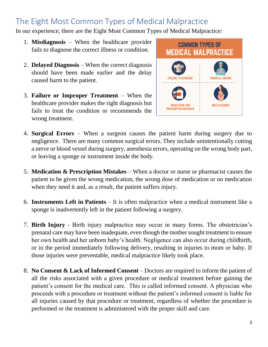# <span id="page-6-0"></span>The Eight Most Common Types of Medical Malpractice

In our experience, there are the Eight Most Common Types of Medical Malpractice:

- 1. **Misdiagnosis** When the healthcare provider fails to diagnose the correct illness or condition.
- 2. **Delayed Diagnosis** When the correct diagnosis should have been made earlier and the delay caused harm to the patient.
- 3. **Failure or Improper Treatment** When the healthcare provider makes the right diagnosis but fails to treat the condition or recommends the wrong treatment.



- 4. **Surgical Errors** When a surgeon causes the patient harm during surgery due to negligence. There are many common surgical errors. They include unintentionally cutting a nerve or blood vessel during surgery, anesthesia errors, operating on the wrong body part, or leaving a sponge or instrument inside the body.
- 5. **Medication & Prescription Mistakes** When a doctor or nurse or pharmacist causes the patient to be given the wrong medication, the wrong dose of medication or no medication when they need it and, as a result, the patient suffers injury.
- 6. **Instruments Left in Patients** It is often malpractice when a medical instrument like a sponge is inadvertently left in the patient following a surgery.
- 7. **Birth Injury** Birth injury malpractice may occur in many forms. The obstetrician's prenatal care may have been inadequate, even though the mother sought treatment to ensure her own health and her unborn baby's health. Negligence can also occur during childbirth, or in the period immediately following delivery, resulting in injuries to mom or baby. If those injuries were preventable, medical malpractice likely took place.
- 8. **No Consent & Lack of Informed Consent** Doctors are required to inform the patient of all the risks associated with a given procedure or medical treatment before gaining the patient's consent for the medical care. This is called informed consent. A physician who proceeds with a procedure or treatment without the patient's informed consent is liable for all injuries caused by that procedure or treatment, regardless of whether the procedure is performed or the treatment is administered with the proper skill and care.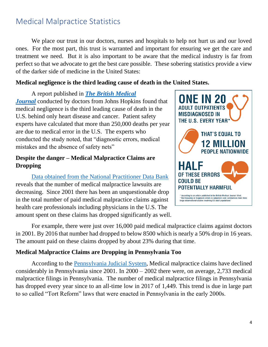# <span id="page-7-0"></span>Medical Malpractice Statistics

We place our trust in our doctors, nurses and hospitals to help not hurt us and our loved ones. For the most part, this trust is warranted and important for ensuring we get the care and treatment we need. But it is also important to be aware that the medical industry is far from perfect so that we advocate to get the best care possible. These sobering statistics provide a view of the darker side of medicine in the United States:

#### **Medical negligence is the third leading cause of death in the United States.**

A report published in *[The British Medical](https://www.hopkinsmedicine.org/news/media/releases/study_suggests_medical_errors_now_third_leading_cause_of_death_in_the_us)  [Journal](https://www.hopkinsmedicine.org/news/media/releases/study_suggests_medical_errors_now_third_leading_cause_of_death_in_the_us)* conducted by doctors from Johns Hopkins found that medical negligence is the third leading cause of death in the U.S. behind only heart disease and cancer. Patient safety experts have calculated that more than 250,000 deaths per year are due to medical error in the U.S. The experts who conducted the study noted, that "diagnostic errors, medical mistakes and the absence of safety nets"

#### **Despite the danger – Medical Malpractice Claims are Dropping**

[Data obtained from the National Practitioner Data Bank](http://truecostofhealthcare.org/malpractice_statistics/) reveals that the number of medical malpractice lawsuits are decreasing. Since 2001 there has been an unquestionable drop in the total number of paid medical malpractice claims against health care professionals including physicians in the U.S. The amount spent on these claims has dropped significantly as well.



For example, there were just over 16,000 paid medical malpractice claims against doctors in 2001. By 2016 that number had dropped to below 8500 which is nearly a 50% drop in 16 years. The amount paid on these claims dropped by about 23% during that time.

#### **Medical Malpractice Claims are Dropping in Pennsylvania Too**

According to the [Pennsylvania Judicial System,](http://www.pacourts.us/assets/files/setting-2929/file-7458.pdf?cb=656af3) Medical malpractice claims have declined considerably in Pennsylvania since 2001. In 2000 – 2002 there were, on average, 2,733 medical malpractice filings in Pennsylvania. The number of medical malpractice filings in Pennsylvania has dropped every year since to an all-time low in 2017 of 1,449. This trend is due in large part to so called "Tort Reform" laws that were enacted in Pennsylvania in the early 2000s.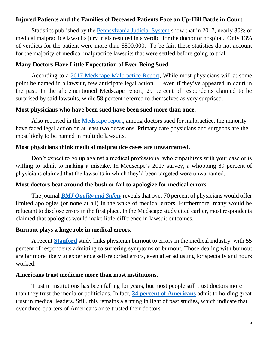#### **Injured Patients and the Families of Deceased Patients Face an Up-Hill Battle in Court**

Statistics published by the [Pennsylvania Judicial System](http://www.pacourts.us/assets/files/setting-771/file-7457.pdf?cb=e4f49b) show that in 2017, nearly 80% of medical malpractice lawsuits jury trials resulted in a verdict for the doctor or hospital. Only 13% of verdicts for the patient were more than \$500,000. To be fair, these statistics do not account for the majority of medical malpractice lawsuits that were settled before going to trial.

#### **Many Doctors Have Little Expectation of Ever Being Sued**

According to a [2017 Medscape Malpractice Report,](https://www.medscape.com/slideshow/2017-malpractice-report-6009206#2) While most physicians will at some point be named in a lawsuit, few anticipate legal action — even if they've appeared in court in the past. In the aforementioned Medscape report, 29 percent of respondents claimed to be surprised by said lawsuits, while 58 percent referred to themselves as very surprised.

#### **Most physicians who have been sued have been sued more than once.**

Also reported in the [Medscape report,](https://www.medscape.com/slideshow/2017-malpractice-report-6009206#2) among doctors sued for malpractice, the majority have faced legal action on at least two occasions. Primary care physicians and surgeons are the most likely to be named in multiple lawsuits.

#### **Most physicians think medical malpractice cases are unwarranted.**

Don't expect to go up against a medical professional who empathizes with your case or is willing to admit to making a mistake. In Medscape's 2017 survey, a whopping 89 percent of physicians claimed that the lawsuits in which they'd been targeted were unwarranted.

#### **Most doctors beat around the bush or fail to apologize for medical errors.**

The journal *[BMJ Quality and Safety](https://qualitysafety.bmj.com/content/25/10/787?sid=6d3cae45-120b-42d9-8c97-bd1ede3f334b)* reveals that over 70 percent of physicians would offer limited apologies (or none at all) in the wake of medical errors. Furthermore, many would be reluctant to disclose errors in the first place. In the Medscape study cited earlier, most respondents claimed that apologies would make little difference in lawsuit outcomes.

#### **Burnout plays a huge role in medical errors.**

A recent **[Stanford](https://med.stanford.edu/news/all-news/2018/07/medical-errors-may-stem-more-from-physician-burnout.html)** study links physician burnout to errors in the medical industry, with 55 percent of respondents admitting to suffering symptoms of burnout. Those dealing with burnout are far more likely to experience self-reported errors, even after adjusting for specialty and hours worked.

#### **Americans trust medicine more than most institutions.**

Trust in institutions has been falling for years, but most people still trust doctors more than they trust the media or politicians. In fact, **[34 percent of Americans](https://www.nytimes.com/2018/01/23/upshot/do-you-trust-the-medical-profession.html)** admit to holding great trust in medical leaders. Still, this remains alarming in light of past studies, which indicate that over three-quarters of Americans once trusted their doctors.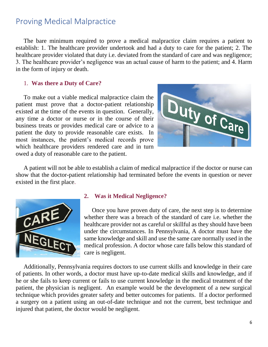### <span id="page-9-0"></span>Proving Medical Malpractice

The bare minimum required to prove a medical malpractice claim requires a patient to establish: 1. The healthcare provider undertook and had a duty to care for the patient; 2. The healthcare provider violated that duty i.e. deviated from the standard of care and was negligence; 3. The healthcare provider's negligence was an actual cause of harm to the patient; and 4. Harm in the form of injury or death.

#### 1. **Was there a Duty of Care?**

To make out a viable medical malpractice claim the patient must prove that a doctor-patient relationship existed at the time of the events in question. Generally, any time a doctor or nurse or in the course of their business treats or provides medical care or advice to a patient the duty to provide reasonable care exists. In most instances, the patient's medical records prove which healthcare providers rendered care and in turn owed a duty of reasonable care to the patient.



A patient will not be able to establish a claim of medical malpractice if the doctor or nurse can show that the doctor-patient relationship had terminated before the events in question or never existed in the first place.



#### **2. Was it Medical Negligence?**

Once you have proven duty of care, the next step is to determine whether there was a breach of the standard of care i.e. whether the healthcare provider not as careful or skillful as they should have been under the circumstances. In Pennsylvania, A doctor must have the same knowledge and skill and use the same care normally used in the medical profession. A doctor whose care falls below this standard of care is negligent.

Additionally, Pennsylvania requires doctors to use current skills and knowledge in their care of patients. In other words, a doctor must have up-to-date medical skills and knowledge, and if he or she fails to keep current or fails to use current knowledge in the medical treatment of the patient, the physician is negligent. An example would be the development of a new surgical technique which provides greater safety and better outcomes for patients. If a doctor performed a surgery on a patient using an out-of-date technique and not the current, best technique and injured that patient, the doctor would be negligent.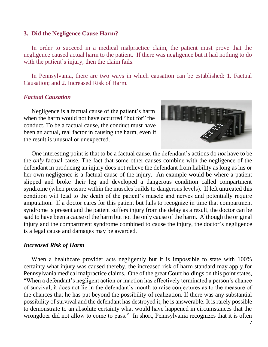#### **3. Did the Negligence Cause Harm?**

In order to succeed in a medical malpractice claim, the patient must prove that the negligence caused actual harm to the patient. If there was negligence but it had nothing to do with the patient's injury, then the claim fails.

In Pennsylvania, there are two ways in which causation can be established: 1. Factual Causation; and 2. Increased Risk of Harm.

#### *Factual Causation*

Negligence is a factual cause of the patient's harm when the harm would not have occurred "but for" the conduct. To be a factual cause, the conduct must have been an actual, real factor in causing the harm, even if the result is unusual or unexpected.



One interesting point is that to be a factual cause, the defendant's actions do *not* have to be the *only* factual cause. The fact that some other causes combine with the negligence of the defendant in producing an injury does not relieve the defendant from liability as long as his or her own negligence is a factual cause of the injury. An example would be where a patient slipped and broke their leg and developed a dangerous condition called compartment syndrome (when pressure within the muscles builds to dangerous levels). If left untreated this condition will lead to the death of the patient's muscle and nerves and potentially require amputation. If a doctor cares for this patient but fails to recognize in time that compartment syndrome is present and the patient suffers injury from the delay as a result, the doctor can be said to have been a cause of the harm but not the only cause of the harm. Although the original injury and the compartment syndrome combined to cause the injury, the doctor's negligence is a legal cause and damages may be awarded.

#### *Increased Risk of Harm*

When a healthcare provider acts negligently but it is impossible to state with 100% certainty what injury was caused thereby, the increased risk of harm standard may apply for Pennsylvania medical malpractice claims. One of the great Court holdings on this point states, "When a defendant's negligent action or inaction has effectively terminated a person's chance of survival, it does not lie in the defendant's mouth to raise conjectures as to the measure of the chances that he has put beyond the possibility of realization. If there was any substantial possibility of survival and the defendant has destroyed it, he is answerable. It is rarely possible to demonstrate to an absolute certainty what would have happened in circumstances that the wrongdoer did not allow to come to pass." In short, Pennsylvania recognizes that it is often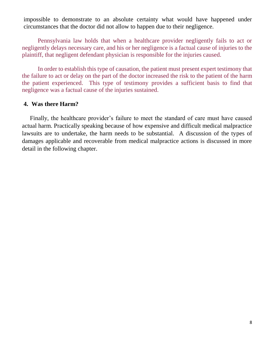impossible to demonstrate to an absolute certainty what would have happened under circumstances that the doctor did not allow to happen due to their negligence.

Pennsylvania law holds that when a healthcare provider negligently fails to act or negligently delays necessary care, and his or her negligence is a factual cause of injuries to the plaintiff, that negligent defendant physician is responsible for the injuries caused.

In order to establish this type of causation, the patient must present expert testimony that the failure to act or delay on the part of the doctor increased the risk to the patient of the harm the patient experienced. This type of testimony provides a sufficient basis to find that negligence was a factual cause of the injuries sustained.

#### **4. Was there Harm?**

Finally, the healthcare provider's failure to meet the standard of care must have caused actual harm. Practically speaking because of how expensive and difficult medical malpractice lawsuits are to undertake, the harm needs to be substantial. A discussion of the types of damages applicable and recoverable from medical malpractice actions is discussed in more detail in the following chapter.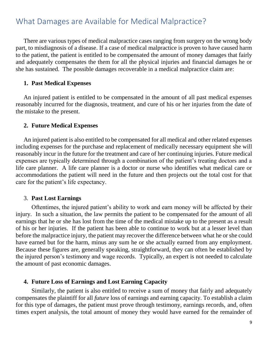## <span id="page-12-0"></span>What Damages are Available for Medical Malpractice?

There are various types of medical malpractice cases ranging from surgery on the wrong body part, to misdiagnosis of a disease. If a case of medical malpractice is proven to have caused harm to the patient, the patient is entitled to be compensated the amount of money damages that fairly and adequately compensates the them for all the physical injuries and financial damages he or she has sustained. The possible damages recoverable in a medical malpractice claim are:

#### **1. Past Medical Expenses**

An injured patient is entitled to be compensated in the amount of all past medical expenses reasonably incurred for the diagnosis, treatment, and cure of his or her injuries from the date of the mistake to the present.

#### **2. Future Medical Expenses**

An injured patient is also entitled to be compensated for all medical and other related expenses including expenses for the purchase and replacement of medically necessary equipment she will reasonably incur in the future for the treatment and care of her continuing injuries. Future medical expenses are typically determined through a combination of the patient's treating doctors and a life care planner. A life care planner is a doctor or nurse who identifies what medical care or accommodations the patient will need in the future and then projects out the total cost for that care for the patient's life expectancy.

#### 3. **Past Lost Earnings**

Oftentimes, the injured patient's ability to work and earn money will be affected by their injury. In such a situation, the law permits the patient to be compensated for the amount of all earnings that he or she has lost from the time of the medical mistake up to the present as a result of his or her injuries. If the patient has been able to continue to work but at a lesser level than before the malpractice injury, the patient may recover the difference between what he or she could have earned but for the harm, minus any sum he or she actually earned from any employment. Because these figures are, generally speaking, straightforward, they can often be established by the injured person's testimony and wage records. Typically, an expert is not needed to calculate the amount of past economic damages.

#### **4. Future Loss of Earnings and Lost Earning Capacity**

Similarly, the patient is also entitled to receive a sum of money that fairly and adequately compensates the plaintiff for all *future* loss of earnings and earning capacity. To establish a claim for this type of damages, the patient must prove through testimony, earnings records, and, often times expert analysis, the total amount of money they would have earned for the remainder of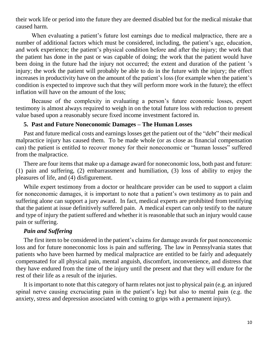their work life or period into the future they are deemed disabled but for the medical mistake that caused harm.

When evaluating a patient's future lost earnings due to medical malpractice, there are a number of additional factors which must be considered, including, the patient's age, education, and work experience; the patient's physical condition before and after the injury; the work that the patient has done in the past or was capable of doing; the work that the patient would have been doing in the future had the injury not occurred; the extent and duration of the patient 's injury; the work the patient will probably be able to do in the future with the injury; the effect increases in productivity have on the amount of the patient's loss (for example when the patient's condition is expected to improve such that they will perform more work in the future); the effect inflation will have on the amount of the loss;

Because of the complexity in evaluating a person's future economic losses, expert testimony is almost always required to weigh in on the total future loss with reduction to present value based upon a reasonably secure fixed income investment factored in.

#### **5. Past and Future Noneconomic Damages – The Human Losses**

Past and future medical costs and earnings losses get the patient out of the "debt" their medical malpractice injury has caused them. To be made whole (or as close as financial compensation can) the patient is entitled to recover money for their noneconomic or "human losses" suffered from the malpractice.

There are four items that make up a damage award for noneconomic loss, both past and future: (1) pain and suffering, (2) embarrassment and humiliation, (3) loss of ability to enjoy the pleasures of life, and (4) disfigurement.

While expert testimony from a doctor or healthcare provider can be used to support a claim for noneconomic damages, it is important to note that a patient's own testimony as to pain and suffering alone can support a jury award. In fact, medical experts are prohibited from testifying that the patient at issue definitively suffered pain. A medical expert can only testify to the nature and type of injury the patient suffered and whether it is reasonable that such an injury would cause pain or suffering.

#### *Pain and Suffering*

The first item to be considered in the patient's claims for damage awards for past noneconomic loss and for future noneconomic loss is pain and suffering. The law in Pennsylvania states that patients who have been harmed by medical malpractice are entitled to be fairly and adequately compensated for all physical pain, mental anguish, discomfort, inconvenience, and distress that they have endured from the time of the injury until the present and that they will endure for the rest of their life as a result of the injuries.

It is important to note that this category of harm relates not just to physical pain (e.g. an injured spinal nerve causing excruciating pain in the patient's leg) but also to mental pain (e.g. the anxiety, stress and depression associated with coming to grips with a permanent injury).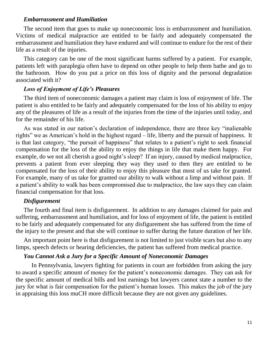#### *Embarrassment and Humiliation*

The second item that goes to make up noneconomic loss is embarrassment and humiliation. Victims of medical malpractice are entitled to be fairly and adequately compensated the embarrassment and humiliation they have endured and will continue to endure for the rest of their life as a result of the injuries.

This category can be one of the most significant harms suffered by a patient. For example, patients left with paraplegia often have to depend on other people to help them bathe and go to the bathroom. How do you put a price on this loss of dignity and the personal degradation associated with it?

#### *Loss of Enjoyment of Life's Pleasures*

The third item of noneconomic damages a patient may claim is loss of enjoyment of life. The patient is also entitled to be fairly and adequately compensated for the loss of his ability to enjoy any of the pleasures of life as a result of the injuries from the time of the injuries until today, and for the remainder of his life.

As was stated in our nation's declaration of independence, there are three key "inalienable rights" we as American's hold in the highest regard – life, liberty and the pursuit of happiness. It is that last category, "the pursuit of happiness" that relates to a patient's right to seek financial compensation for the loss of the ability to enjoy the things in life that make them happy. For example, do we not all cherish a good night's sleep? If an injury, caused by medical malpractice, prevents a patient from ever sleeping they way they used to then they are entitled to be compensated for the loss of their ability to enjoy this pleasure that most of us take for granted. For example, many of us take for granted our ability to walk without a limp and without pain. If a patient's ability to walk has been compromised due to malpractice, the law says they can claim financial compensation for that loss.

#### *Disfigurement*

The fourth and final item is disfigurement. In addition to any damages claimed for pain and suffering, embarrassment and humiliation, and for loss of enjoyment of life, the patient is entitled to be fairly and adequately compensated for any disfigurement she has suffered from the time of the injury to the present and that she will continue to suffer during the future duration of her life.

An important point here is that disfigurement is not limited to just visible scars but also to any limps, speech defects or hearing deficiencies, the patient has suffered from medical practice.

#### *You Cannot Ask a Jury for a Specific Amount of Noneconomic Damages*

In Pennsylvania, lawyers fighting for patients in court are forbidden from asking the jury to award a specific amount of money for the patient's noneconomic damages. They can ask for the specific amount of medical bills and lost earnings but lawyers cannot state a number to the jury for what is fair compensation for the patient's human losses. This makes the job of the jury in appraising this loss muCH more difficult because they are not given any guidelines.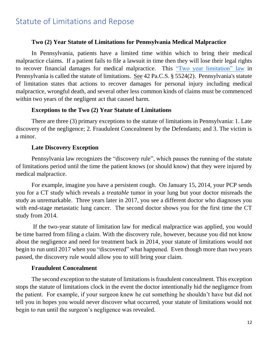## <span id="page-15-0"></span>Statute of Limitations and Repose

#### **Two (2) Year Statute of Limitations for Pennsylvania Medical Malpractice**

In Pennsylvania, patients have a limited time within which to bring their medical malpractice claims. If a patient fails to file a lawsuit in time then they will lose their legal rights to recover financial damages for medical malpractice. This ["Two year limitation" law](https://www.legis.state.pa.us/WU01/LI/LI/CT/HTM/42/00.055.024.000..HTM) in Pennsylvania is called the statute of limitations. See 42 Pa.C.S. § 5524(2). Pennsylvania's statute of limitation states that actions to recover damages for personal injury including medical malpractice, wrongful death, and several other less common kinds of claims must be commenced within two years of the negligent act that caused harm.

#### **Exceptions to the Two (2) Year Statute of Limitations**

There are three (3) primary exceptions to the statute of limitations in Pennsylvania: 1. Late discovery of the negligence; 2. Fraudulent Concealment by the Defendants; and 3. The victim is a minor.

#### **Late Discovery Exception**

Pennsylvania law recognizes the "discovery rule", which pauses the running of the statute of limitations period until the time the patient knows (or should know) that they were injured by medical malpractice.

For example, imagine you have a persistent cough. On January 15, 2014, your PCP sends you for a CT study which reveals a *treatable* tumor in your lung but your doctor misreads the study as unremarkable. Three years later in 2017, you see a different doctor who diagnoses you with end-stage metastatic lung cancer. The second doctor shows you for the first time the CT study from 2014.

If the two-year statute of limitation law for medical malpractice was applied, you would be time barred from filing a claim. With the discovery rule, however, because you did not know about the negligence and need for treatment back in 2014, your statute of limitations would not begin to run until 2017 when you "discovered" what happened. Even though more than two years passed, the discovery rule would allow you to still bring your claim.

#### **Fraudulent Concealment**

The second exception to the statute of limitations is fraudulent concealment. This exception stops the statute of limitations clock in the event the doctor intentionally hid the negligence from the patient. For example, if your surgeon knew he cut something he shouldn't have but did not tell you in hopes you would never discover what occurred, your statute of limitations would not begin to run until the surgeon's negligence was revealed.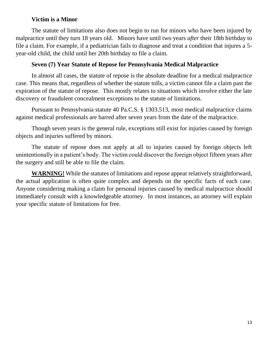#### **Victim is a Minor**

The statute of limitations also does not begin to run for minors who have been injured by malpractice until they turn 18 years old. Minors have until two years *after* their 18th birthday to file a claim. For example, if a pediatrician fails to diagnose and treat a condition that injures a 5 year-old child, the child until her 20th birthday to file a claim.

#### **Seven (7) Year Statute of Repose for Pennsylvania Medical Malpractice**

In almost all cases, the statute of repose is the absolute deadline for a medical malpractice case. This means that, regardless of whether the statute tolls, a victim cannot file a claim past the expiration of the statute of repose. This mostly relates to situations which involve either the late discovery or fraudulent concealment exceptions to the statute of limitations.

Pursuant to Pennsylvania statute 40 Pa.C.S. § 1303.513, most medical malpractice claims against medical professionals are barred after seven years from the date of the malpractice.

Though seven years is the general rule, exceptions still exist for injuries caused by foreign objects and injuries suffered by minors.

The statute of repose does not apply at all to injuries caused by foreign objects left unintentionally in a patient's body. The victim could discover the foreign object fifteen years after the surgery and still be able to file the claim.

**WARNING!** While the statutes of limitations and repose appear relatively straightforward, the actual application is often quite complex and depends on the specific facts of each case. Anyone considering making a claim for personal injuries caused by medical malpractice should immediately consult with a knowledgeable attorney. In most instances, an attorney will explain your specific statute of limitations for free.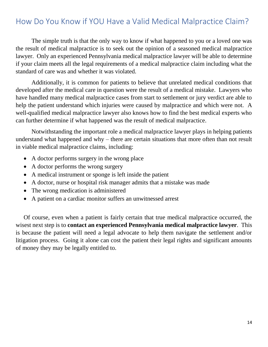# <span id="page-17-0"></span>How Do You Know if YOU Have a Valid Medical Malpractice Claim?

The simple truth is that the only way to know if what happened to you or a loved one was the result of medical malpractice is to seek out the opinion of a seasoned medical malpractice lawyer. Only an experienced Pennsylvania medical malpractice lawyer will be able to determine if your claim meets all the legal requirements of a medical malpractice claim including what the standard of care was and whether it was violated.

Additionally, it is common for patients to believe that unrelated medical conditions that developed after the medical care in question were the result of a medical mistake. Lawyers who have handled many medical malpractice cases from start to settlement or jury verdict are able to help the patient understand which injuries were caused by malpractice and which were not. A well-qualified medical malpractice lawyer also knows how to find the best medical experts who can further determine if what happened was the result of medical malpractice.

Notwithstanding the important role a medical malpractice lawyer plays in helping patients understand what happened and why – there are certain situations that more often than not result in viable medical malpractice claims, including:

- A doctor performs surgery in the wrong place
- A doctor performs the wrong surgery
- A medical instrument or sponge is left inside the patient
- A doctor, nurse or hospital risk manager admits that a mistake was made
- The wrong medication is administered
- A patient on a cardiac monitor suffers an unwitnessed arrest

Of course, even when a patient is fairly certain that true medical malpractice occurred, the wisest next step is to **contact an experienced Pennsylvania medical malpractice lawyer**. This is because the patient will need a legal advocate to help them navigate the settlement and/or litigation process. Going it alone can cost the patient their legal rights and significant amounts of money they may be legally entitled to.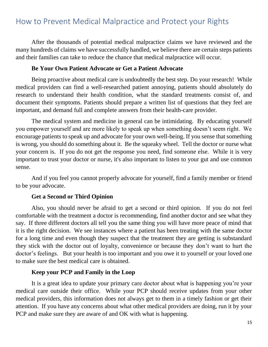# <span id="page-18-0"></span>How to Prevent Medical Malpractice and Protect your Rights

After the thousands of potential medical malpractice claims we have reviewed and the many hundreds of claims we have successfully handled, we believe there are certain steps patients and their families can take to reduce the chance that medical malpractice will occur.

#### **Be Your Own Patient Advocate or Get a Patient Advocate**

Being proactive about medical care is undoubtedly the best step. Do your research! While medical providers can find a well-researched patient annoying, patients should absolutely do research to understand their health condition, what the standard treatments consist of, and document their symptoms. Patients should prepare a written list of questions that they feel are important, and demand full and complete answers from their health-care provider.

The medical system and medicine in general can be intimidating. By educating yourself you empower yourself and are more likely to speak up when something doesn't seem right. We encourage patients to speak up and advocate for your own well-being. If you sense that something is wrong, you should do something about it. Be the squeaky wheel. Tell the doctor or nurse what your concern is. If you do not get the response you need, find someone else. While it is very important to trust your doctor or nurse, it's also important to listen to your gut and use common sense.

And if you feel you cannot properly advocate for yourself, find a family member or friend to be your advocate.

#### **Get a Second or Third Opinion**

Also, you should never be afraid to get a second or third opinion. If you do not feel comfortable with the treatment a doctor is recommending, find another doctor and see what they say. If three different doctors all tell you the same thing you will have more peace of mind that it is the right decision. We see instances where a patient has been treating with the same doctor for a long time and even though they suspect that the treatment they are getting is substandard they stick with the doctor out of loyalty, convenience or because they don't want to hurt the doctor's feelings. But your health is too important and you owe it to yourself or your loved one to make sure the best medical care is obtained.

#### **Keep your PCP and Family in the Loop**

It is a great idea to update your primary care doctor about what is happening you're your medical care outside their office. While your PCP should receive updates from your other medical providers, this information does not always get to them in a timely fashion or get their attention. If you have any concerns about what other medical providers are doing, run it by your PCP and make sure they are aware of and OK with what is happening.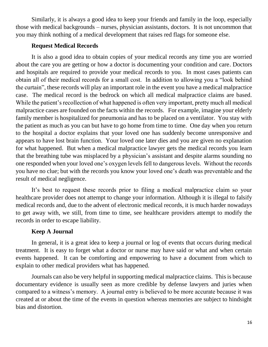Similarly, it is always a good idea to keep your friends and family in the loop, especially those with medical backgrounds – nurses, physician assistants, doctors. It is not uncommon that you may think nothing of a medical development that raises red flags for someone else.

#### **Request Medical Records**

It is also a good idea to obtain copies of your medical records any time you are worried about the care you are getting or how a doctor is documenting your condition and care. Doctors and hospitals are required to provide your medical records to you. In most cases patients can obtain all of their medical records for a small cost. In addition to allowing you a "look behind the curtain", these records will play an important role in the event you have a medical malpractice case. The medical record is the bedrock on which all medical malpractice claims are based. While the patient's recollection of what happened is often very important, pretty much all medical malpractice cases are founded on the facts within the records. For example, imagine your elderly family member is hospitalized for pneumonia and has to be placed on a ventilator. You stay with the patient as much as you can but have to go home from time to time. One day when you return to the hospital a doctor explains that your loved one has suddenly become unresponsive and appears to have lost brain function. Your loved one later dies and you are given no explanation for what happened. But when a medical malpractice lawyer gets the medical records you learn that the breathing tube was misplaced by a physician's assistant and despite alarms sounding no one responded when your loved one's oxygen levels fell to dangerous levels. Without the records you have no clue; but with the records you know your loved one's death was preventable and the result of medical negligence.

It's best to request these records prior to filing a medical malpractice claim so your healthcare provider does not attempt to change your information. Although it is illegal to falsify medical records and, due to the advent of electronic medical records, it is much harder nowadays to get away with, we still, from time to time, see healthcare providers attempt to modify the records in order to escape liability.

#### **Keep A Journal**

In general, it is a great idea to keep a journal or log of events that occurs during medical treatment. It is easy to forget what a doctor or nurse may have said or what and when certain events happened. It can be comforting and empowering to have a document from which to explain to other medical providers what has happened.

Journals can also be very helpful in supporting medical malpractice claims. This is because documentary evidence is usually seen as more credible by defense lawyers and juries when compared to a witness's memory. A journal entry is believed to be more accurate because it was created at or about the time of the events in question whereas memories are subject to hindsight bias and distortion.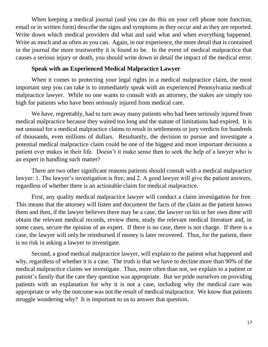When keeping a medical journal (and you can do this on your cell phone note function, email or in written form) describe the signs and symptoms as they occur and as they are reported. Write down which medical providers did what and said what and when everything happened. Write as much and as often as you can. Again, in our experience, the more detail that is contained in the journal the more trustworthy it is found to be. In the event of medical malpractice that causes a serious injury or death, you should write down in detail the impact of the medical error.

#### **Speak with an Experienced Medical Malpractice Lawyer**

When it comes to protecting your legal rights in a medical malpractice claim, the most important step you can take is to immediately speak with an experienced Pennsylvania medical malpractice lawyer. While no one wants to consult with an attorney, the stakes are simply too high for patients who have been seriously injured from medical care.

We have, regrettably, had to turn away many patients who had been seriously injured from medical malpractice because they waited too long and the statute of limitations had expired. It is not unusual for a medical malpractice claims to result in settlements or jury verdicts for hundreds of thousands, even millions of dollars. Resultantly, the decision to pursue and investigate a potential medical malpractice claim could be one of the biggest and most important decisions a patient ever makes in their life. Doesn't it make sense then to seek the help of a lawyer who is an expert in handling such matter?

There are two other significant reasons patients should consult with a medical malpractice lawyer: 1. The lawyer's investigation is free; and 2. A good lawyer will give the patient answers, regardless of whether there is an actionable claim for medical malpractice.

First, any quality medical malpractice lawyer will conduct a claim investigation for free. This means that the attorney will listen and document the facts of the claim as the patient knows them and then, if the lawyer believes there may be a case, the lawyer on his or her own dime will obtain the relevant medical records, review them, study the relevant medical literature and, in some cases, secure the opinion of an expert. If there is no case, there is not charge. If there is a case, the lawyer will only be reimbursed if money is later recovered. Thus, for the patient, there is no risk in asking a lawyer to investigate.

Second, a good medical malpractice lawyer, will explain to the patient what happened and why, regardless of whether it is a case. The truth is that we have to decline more than 90% of the medical malpractice claims we investigate. Thus, more often than not, we explain to a patient or patient's family that the care they question was appropriate. But we pride ourselves on providing patients with an explanation for why it is not a case, including why the medical care was appropriate or why the outcome was not the result of medical malpractice. We know that patients struggle wondering why? It is important to us to answer that question.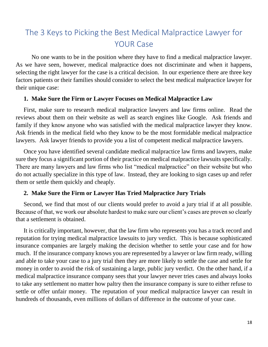# The 3 Keys to Picking the Best Medical Malpractice Lawyer for YOUR Case

No one wants to be in the position where they have to find a medical malpractice lawyer. As we have seen, however, medical malpractice does not discriminate and when it happens, selecting the right lawyer for the case is a critical decision. In our experience there are three key factors patients or their families should consider to select the best medical malpractice lawyer for their unique case:

#### **1. Make Sure the Firm or Lawyer Focuses on Medical Malpractice Law**

First, make sure to research medical malpractice lawyers and law firms online. Read the reviews about them on their website as well as search engines like Google. Ask friends and family if they know anyone who was satisfied with the medical malpractice lawyer they know. Ask friends in the medical field who they know to be the most formidable medical malpractice lawyers. Ask lawyer friends to provide you a list of competent medical malpractice lawyers.

Once you have identified several candidate medical malpractice law firms and lawyers, make sure they focus a significant portion of their practice on medical malpractice lawsuits specifically. There are many lawyers and law firms who list "medical malpractice" on their website but who do not actually specialize in this type of law. Instead, they are looking to sign cases up and refer them or settle them quickly and cheaply.

#### **2. Make Sure the Firm or Lawyer Has Tried Malpractice Jury Trials**

Second, we find that most of our clients would prefer to avoid a jury trial if at all possible. Because of that, we work our absolute hardest to make sure our client's cases are proven so clearly that a settlement is obtained.

It is critically important, however, that the law firm who represents you has a track record and reputation for trying medical malpractice lawsuits to jury verdict. This is because sophisticated insurance companies are largely making the decision whether to settle your case and for how much. If the insurance company knows you are represented by a lawyer or law firm ready, willing and able to take your case to a jury trial then they are more likely to settle the case and settle for money in order to avoid the risk of sustaining a large, public jury verdict. On the other hand, if a medical malpractice insurance company sees that your lawyer never tries cases and always looks to take any settlement no matter how paltry then the insurance company is sure to either refuse to settle or offer unfair money. The reputation of your medical malpractice lawyer can result in hundreds of thousands, even millions of dollars of difference in the outcome of your case.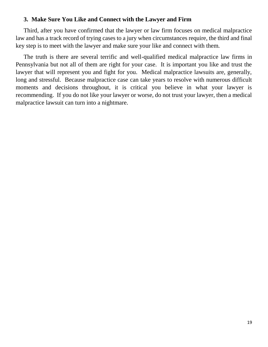#### **3. Make Sure You Like and Connect with the Lawyer and Firm**

Third, after you have confirmed that the lawyer or law firm focuses on medical malpractice law and has a track record of trying cases to a jury when circumstances require, the third and final key step is to meet with the lawyer and make sure your like and connect with them.

The truth is there are several terrific and well-qualified medical malpractice law firms in Pennsylvania but not all of them are right for your case. It is important you like and trust the lawyer that will represent you and fight for you. Medical malpractice lawsuits are, generally, long and stressful. Because malpractice case can take years to resolve with numerous difficult moments and decisions throughout, it is critical you believe in what your lawyer is recommending. If you do not like your lawyer or worse, do not trust your lawyer, then a medical malpractice lawsuit can turn into a nightmare.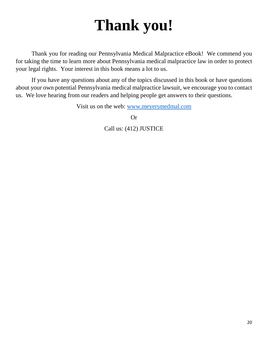# **Thank you!**

Thank you for reading our Pennsylvania Medical Malpractice eBook! We commend you for taking the time to learn more about Pennsylvania medical malpractice law in order to protect your legal rights. Your interest in this book means a lot to us.

If you have any questions about any of the topics discussed in this book or have questions about your own potential Pennsylvania medical malpractice lawsuit, we encourage you to contact us. We love hearing from our readers and helping people get answers to their questions.

Visit us on the web: [www.meyersmedmal.com](http://www.meyersmedmal.com/)

Or

Call us: (412) JUSTICE